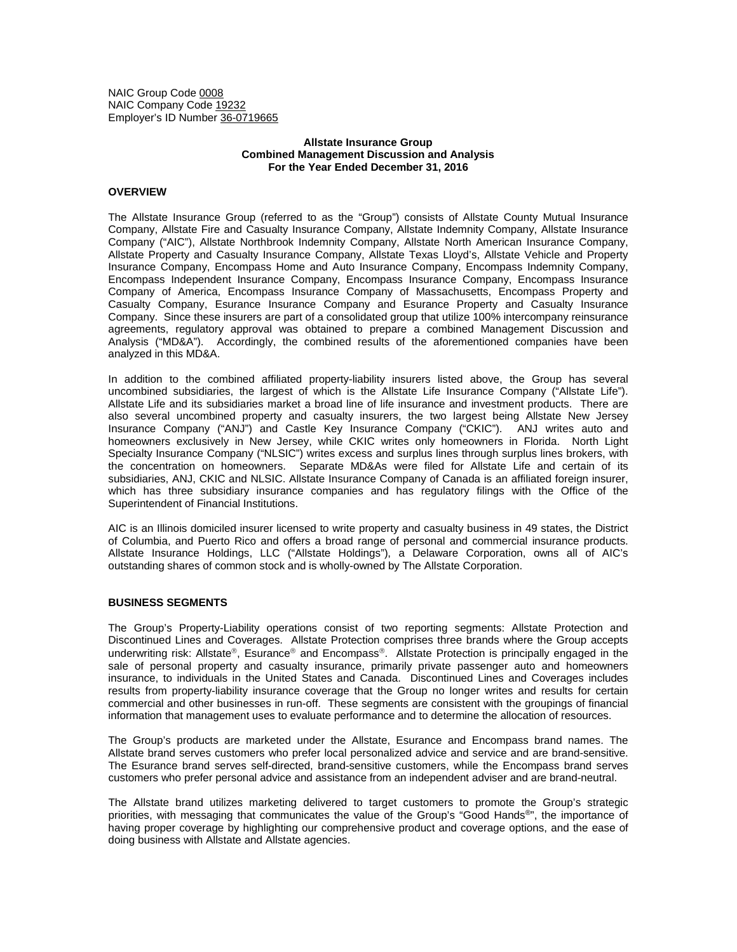NAIC Group Code 0008 NAIC Company Code 19232 Employer's ID Number 36-0719665

## **Allstate Insurance Group Combined Management Discussion and Analysis For the Year Ended December 31, 2016**

# **OVERVIEW**

The Allstate Insurance Group (referred to as the "Group") consists of Allstate County Mutual Insurance Company, Allstate Fire and Casualty Insurance Company, Allstate Indemnity Company, Allstate Insurance Company ("AIC"), Allstate Northbrook Indemnity Company, Allstate North American Insurance Company, Allstate Property and Casualty Insurance Company, Allstate Texas Lloyd's, Allstate Vehicle and Property Insurance Company, Encompass Home and Auto Insurance Company, Encompass Indemnity Company, Encompass Independent Insurance Company, Encompass Insurance Company, Encompass Insurance Company of America, Encompass Insurance Company of Massachusetts, Encompass Property and Casualty Company, Esurance Insurance Company and Esurance Property and Casualty Insurance Company. Since these insurers are part of a consolidated group that utilize 100% intercompany reinsurance agreements, regulatory approval was obtained to prepare a combined Management Discussion and Analysis ("MD&A"). Accordingly, the combined results of the aforementioned companies have been analyzed in this MD&A.

In addition to the combined affiliated property-liability insurers listed above, the Group has several uncombined subsidiaries, the largest of which is the Allstate Life Insurance Company ("Allstate Life"). Allstate Life and its subsidiaries market a broad line of life insurance and investment products. There are also several uncombined property and casualty insurers, the two largest being Allstate New Jersey Insurance Company ("ANJ") and Castle Key Insurance Company ("CKIC"). ANJ writes auto and homeowners exclusively in New Jersey, while CKIC writes only homeowners in Florida. North Light Specialty Insurance Company ("NLSIC") writes excess and surplus lines through surplus lines brokers, with the concentration on homeowners. Separate MD&As were filed for Allstate Life and certain of its subsidiaries, ANJ, CKIC and NLSIC. Allstate Insurance Company of Canada is an affiliated foreign insurer, which has three subsidiary insurance companies and has regulatory filings with the Office of the Superintendent of Financial Institutions.

AIC is an Illinois domiciled insurer licensed to write property and casualty business in 49 states, the District of Columbia, and Puerto Rico and offers a broad range of personal and commercial insurance products. Allstate Insurance Holdings, LLC ("Allstate Holdings"), a Delaware Corporation, owns all of AIC's outstanding shares of common stock and is wholly-owned by The Allstate Corporation.

## **BUSINESS SEGMENTS**

The Group's Property-Liability operations consist of two reporting segments: Allstate Protection and Discontinued Lines and Coverages. Allstate Protection comprises three brands where the Group accepts underwriting risk: Allstate®, Esurance® and Encompass®. Allstate Protection is principally engaged in the sale of personal property and casualty insurance, primarily private passenger auto and homeowners insurance, to individuals in the United States and Canada. Discontinued Lines and Coverages includes results from property-liability insurance coverage that the Group no longer writes and results for certain commercial and other businesses in run-off. These segments are consistent with the groupings of financial information that management uses to evaluate performance and to determine the allocation of resources.

The Group's products are marketed under the Allstate, Esurance and Encompass brand names. The Allstate brand serves customers who prefer local personalized advice and service and are brand-sensitive. The Esurance brand serves self-directed, brand-sensitive customers, while the Encompass brand serves customers who prefer personal advice and assistance from an independent adviser and are brand-neutral.

The Allstate brand utilizes marketing delivered to target customers to promote the Group's strategic priorities, with messaging that communicates the value of the Group's "Good Hands®", the importance of having proper coverage by highlighting our comprehensive product and coverage options, and the ease of doing business with Allstate and Allstate agencies.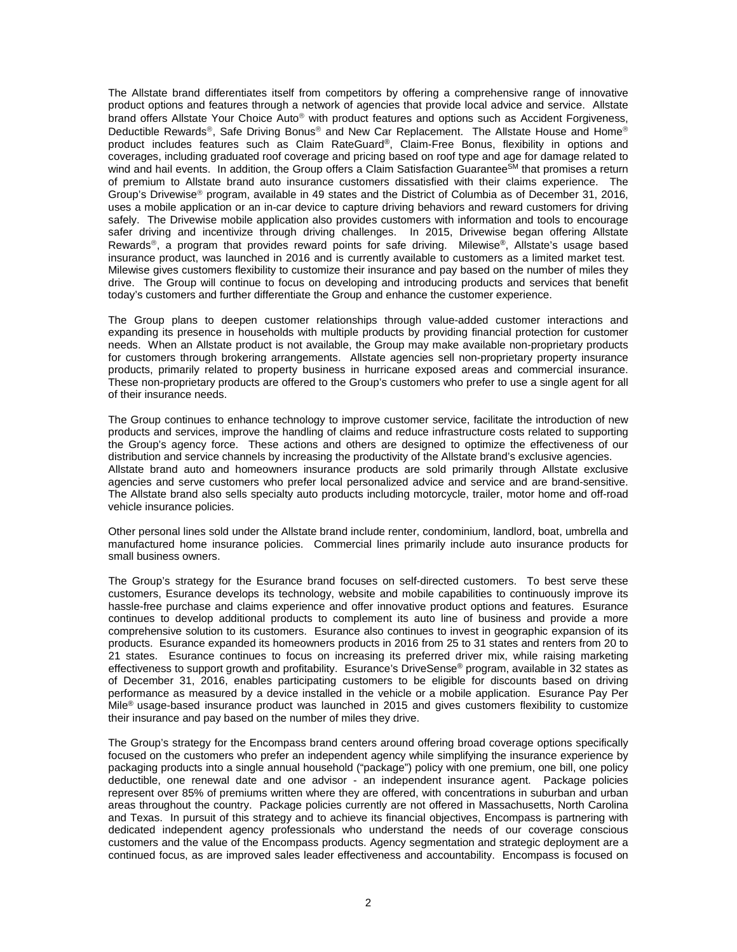The Allstate brand differentiates itself from competitors by offering a comprehensive range of innovative product options and features through a network of agencies that provide local advice and service. Allstate brand offers Allstate Your Choice Auto<sup>®</sup> with product features and options such as Accident Forgiveness, Deductible Rewards®, Safe Driving Bonus® and New Car Replacement. The Allstate House and Home® product includes features such as Claim RateGuard®, Claim-Free Bonus, flexibility in options and coverages, including graduated roof coverage and pricing based on roof type and age for damage related to wind and hail events. In addition, the Group offers a Claim Satisfaction Guarantee<sup>SM</sup> that promises a return of premium to Allstate brand auto insurance customers dissatisfied with their claims experience. The Group's Drivewise® program, available in 49 states and the District of Columbia as of December 31, 2016, uses a mobile application or an in-car device to capture driving behaviors and reward customers for driving safely. The Drivewise mobile application also provides customers with information and tools to encourage safer driving and incentivize through driving challenges. In 2015, Drivewise began offering Allstate Rewards®, a program that provides reward points for safe driving. Milewise®, Allstate's usage based insurance product, was launched in 2016 and is currently available to customers as a limited market test. Milewise gives customers flexibility to customize their insurance and pay based on the number of miles they drive. The Group will continue to focus on developing and introducing products and services that benefit today's customers and further differentiate the Group and enhance the customer experience.

The Group plans to deepen customer relationships through value-added customer interactions and expanding its presence in households with multiple products by providing financial protection for customer needs. When an Allstate product is not available, the Group may make available non-proprietary products for customers through brokering arrangements. Allstate agencies sell non-proprietary property insurance products, primarily related to property business in hurricane exposed areas and commercial insurance. These non-proprietary products are offered to the Group's customers who prefer to use a single agent for all of their insurance needs.

The Group continues to enhance technology to improve customer service, facilitate the introduction of new products and services, improve the handling of claims and reduce infrastructure costs related to supporting the Group's agency force. These actions and others are designed to optimize the effectiveness of our distribution and service channels by increasing the productivity of the Allstate brand's exclusive agencies. Allstate brand auto and homeowners insurance products are sold primarily through Allstate exclusive agencies and serve customers who prefer local personalized advice and service and are brand-sensitive. The Allstate brand also sells specialty auto products including motorcycle, trailer, motor home and off-road vehicle insurance policies.

Other personal lines sold under the Allstate brand include renter, condominium, landlord, boat, umbrella and manufactured home insurance policies. Commercial lines primarily include auto insurance products for small business owners.

The Group's strategy for the Esurance brand focuses on self-directed customers. To best serve these customers, Esurance develops its technology, website and mobile capabilities to continuously improve its hassle-free purchase and claims experience and offer innovative product options and features. Esurance continues to develop additional products to complement its auto line of business and provide a more comprehensive solution to its customers. Esurance also continues to invest in geographic expansion of its products. Esurance expanded its homeowners products in 2016 from 25 to 31 states and renters from 20 to 21 states. Esurance continues to focus on increasing its preferred driver mix, while raising marketing effectiveness to support growth and profitability. Esurance's DriveSense® program, available in 32 states as of December 31, 2016, enables participating customers to be eligible for discounts based on driving performance as measured by a device installed in the vehicle or a mobile application. Esurance Pay Per Mile<sup>®</sup> usage-based insurance product was launched in 2015 and gives customers flexibility to customize their insurance and pay based on the number of miles they drive.

The Group's strategy for the Encompass brand centers around offering broad coverage options specifically focused on the customers who prefer an independent agency while simplifying the insurance experience by packaging products into a single annual household ("package") policy with one premium, one bill, one policy deductible, one renewal date and one advisor - an independent insurance agent. Package policies represent over 85% of premiums written where they are offered, with concentrations in suburban and urban areas throughout the country. Package policies currently are not offered in Massachusetts, North Carolina and Texas. In pursuit of this strategy and to achieve its financial objectives, Encompass is partnering with dedicated independent agency professionals who understand the needs of our coverage conscious customers and the value of the Encompass products. Agency segmentation and strategic deployment are a continued focus, as are improved sales leader effectiveness and accountability. Encompass is focused on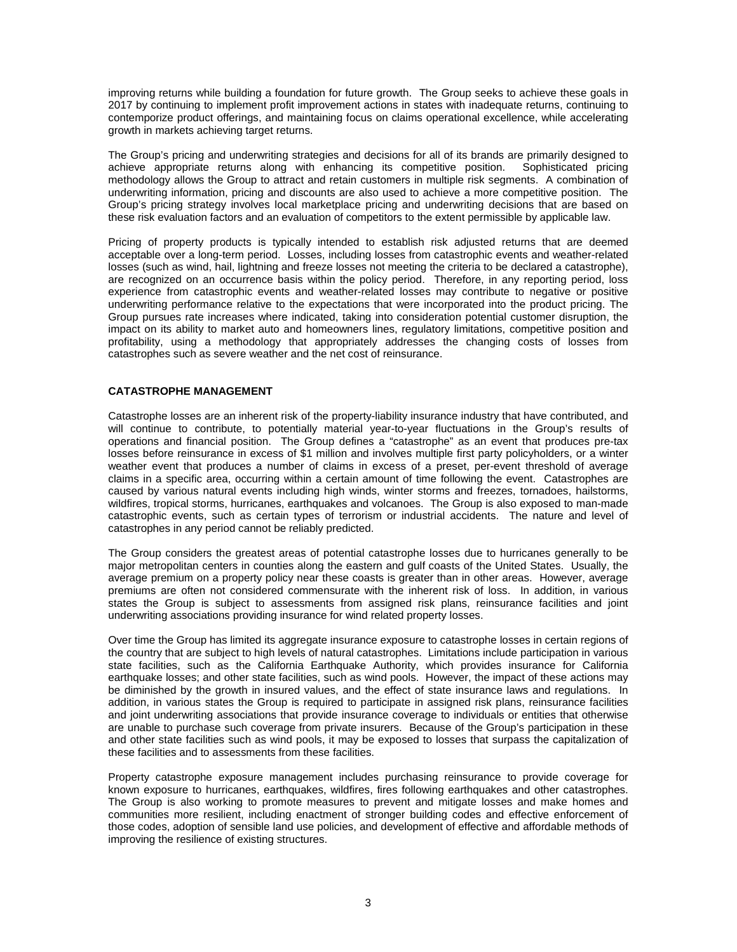improving returns while building a foundation for future growth. The Group seeks to achieve these goals in 2017 by continuing to implement profit improvement actions in states with inadequate returns, continuing to contemporize product offerings, and maintaining focus on claims operational excellence, while accelerating growth in markets achieving target returns.

The Group's pricing and underwriting strategies and decisions for all of its brands are primarily designed to achieve appropriate returns along with enhancing its competitive position. Sophisticated pricing methodology allows the Group to attract and retain customers in multiple risk segments. A combination of underwriting information, pricing and discounts are also used to achieve a more competitive position. The Group's pricing strategy involves local marketplace pricing and underwriting decisions that are based on these risk evaluation factors and an evaluation of competitors to the extent permissible by applicable law.

Pricing of property products is typically intended to establish risk adjusted returns that are deemed acceptable over a long-term period. Losses, including losses from catastrophic events and weather-related losses (such as wind, hail, lightning and freeze losses not meeting the criteria to be declared a catastrophe), are recognized on an occurrence basis within the policy period. Therefore, in any reporting period, loss experience from catastrophic events and weather-related losses may contribute to negative or positive underwriting performance relative to the expectations that were incorporated into the product pricing. The Group pursues rate increases where indicated, taking into consideration potential customer disruption, the impact on its ability to market auto and homeowners lines, regulatory limitations, competitive position and profitability, using a methodology that appropriately addresses the changing costs of losses from catastrophes such as severe weather and the net cost of reinsurance.

# **CATASTROPHE MANAGEMENT**

Catastrophe losses are an inherent risk of the property-liability insurance industry that have contributed, and will continue to contribute, to potentially material year-to-year fluctuations in the Group's results of operations and financial position. The Group defines a "catastrophe" as an event that produces pre-tax losses before reinsurance in excess of \$1 million and involves multiple first party policyholders, or a winter weather event that produces a number of claims in excess of a preset, per-event threshold of average claims in a specific area, occurring within a certain amount of time following the event. Catastrophes are caused by various natural events including high winds, winter storms and freezes, tornadoes, hailstorms, wildfires, tropical storms, hurricanes, earthquakes and volcanoes. The Group is also exposed to man-made catastrophic events, such as certain types of terrorism or industrial accidents. The nature and level of catastrophes in any period cannot be reliably predicted.

The Group considers the greatest areas of potential catastrophe losses due to hurricanes generally to be major metropolitan centers in counties along the eastern and gulf coasts of the United States. Usually, the average premium on a property policy near these coasts is greater than in other areas. However, average premiums are often not considered commensurate with the inherent risk of loss. In addition, in various states the Group is subject to assessments from assigned risk plans, reinsurance facilities and joint underwriting associations providing insurance for wind related property losses.

Over time the Group has limited its aggregate insurance exposure to catastrophe losses in certain regions of the country that are subject to high levels of natural catastrophes. Limitations include participation in various state facilities, such as the California Earthquake Authority, which provides insurance for California earthquake losses; and other state facilities, such as wind pools. However, the impact of these actions may be diminished by the growth in insured values, and the effect of state insurance laws and regulations. In addition, in various states the Group is required to participate in assigned risk plans, reinsurance facilities and joint underwriting associations that provide insurance coverage to individuals or entities that otherwise are unable to purchase such coverage from private insurers. Because of the Group's participation in these and other state facilities such as wind pools, it may be exposed to losses that surpass the capitalization of these facilities and to assessments from these facilities.

Property catastrophe exposure management includes purchasing reinsurance to provide coverage for known exposure to hurricanes, earthquakes, wildfires, fires following earthquakes and other catastrophes. The Group is also working to promote measures to prevent and mitigate losses and make homes and communities more resilient, including enactment of stronger building codes and effective enforcement of those codes, adoption of sensible land use policies, and development of effective and affordable methods of improving the resilience of existing structures.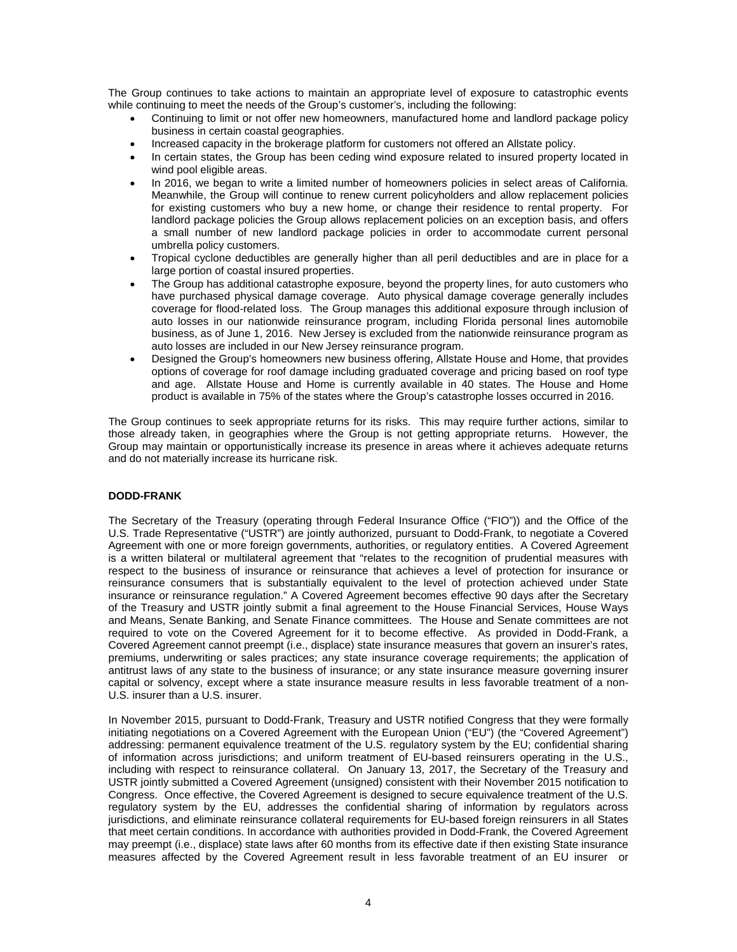The Group continues to take actions to maintain an appropriate level of exposure to catastrophic events while continuing to meet the needs of the Group's customer's, including the following:

- Continuing to limit or not offer new homeowners, manufactured home and landlord package policy business in certain coastal geographies.
- Increased capacity in the brokerage platform for customers not offered an Allstate policy.
- In certain states, the Group has been ceding wind exposure related to insured property located in wind pool eligible areas.
- In 2016, we began to write a limited number of homeowners policies in select areas of California. Meanwhile, the Group will continue to renew current policyholders and allow replacement policies for existing customers who buy a new home, or change their residence to rental property. For landlord package policies the Group allows replacement policies on an exception basis, and offers a small number of new landlord package policies in order to accommodate current personal umbrella policy customers.
- Tropical cyclone deductibles are generally higher than all peril deductibles and are in place for a large portion of coastal insured properties.
- The Group has additional catastrophe exposure, beyond the property lines, for auto customers who have purchased physical damage coverage. Auto physical damage coverage generally includes coverage for flood-related loss. The Group manages this additional exposure through inclusion of auto losses in our nationwide reinsurance program, including Florida personal lines automobile business, as of June 1, 2016. New Jersey is excluded from the nationwide reinsurance program as auto losses are included in our New Jersey reinsurance program.
- Designed the Group's homeowners new business offering, Allstate House and Home, that provides options of coverage for roof damage including graduated coverage and pricing based on roof type and age. Allstate House and Home is currently available in 40 states. The House and Home product is available in 75% of the states where the Group's catastrophe losses occurred in 2016.

The Group continues to seek appropriate returns for its risks. This may require further actions, similar to those already taken, in geographies where the Group is not getting appropriate returns. However, the Group may maintain or opportunistically increase its presence in areas where it achieves adequate returns and do not materially increase its hurricane risk.

# **DODD-FRANK**

The Secretary of the Treasury (operating through Federal Insurance Office ("FIO")) and the Office of the U.S. Trade Representative ("USTR") are jointly authorized, pursuant to Dodd-Frank, to negotiate a Covered Agreement with one or more foreign governments, authorities, or regulatory entities. A Covered Agreement is a written bilateral or multilateral agreement that "relates to the recognition of prudential measures with respect to the business of insurance or reinsurance that achieves a level of protection for insurance or reinsurance consumers that is substantially equivalent to the level of protection achieved under State insurance or reinsurance regulation." A Covered Agreement becomes effective 90 days after the Secretary of the Treasury and USTR jointly submit a final agreement to the House Financial Services, House Ways and Means, Senate Banking, and Senate Finance committees. The House and Senate committees are not required to vote on the Covered Agreement for it to become effective. As provided in Dodd-Frank, a Covered Agreement cannot preempt (i.e., displace) state insurance measures that govern an insurer's rates, premiums, underwriting or sales practices; any state insurance coverage requirements; the application of antitrust laws of any state to the business of insurance; or any state insurance measure governing insurer capital or solvency, except where a state insurance measure results in less favorable treatment of a non-U.S. insurer than a U.S. insurer.

In November 2015, pursuant to Dodd-Frank, Treasury and USTR notified Congress that they were formally initiating negotiations on a Covered Agreement with the European Union ("EU") (the "Covered Agreement") addressing: permanent equivalence treatment of the U.S. regulatory system by the EU; confidential sharing of information across jurisdictions; and uniform treatment of EU-based reinsurers operating in the U.S., including with respect to reinsurance collateral. On January 13, 2017, the Secretary of the Treasury and USTR jointly submitted a Covered Agreement (unsigned) consistent with their November 2015 notification to Congress. Once effective, the Covered Agreement is designed to secure equivalence treatment of the U.S. regulatory system by the EU, addresses the confidential sharing of information by regulators across jurisdictions, and eliminate reinsurance collateral requirements for EU-based foreign reinsurers in all States that meet certain conditions. In accordance with authorities provided in Dodd-Frank, the Covered Agreement may preempt (i.e., displace) state laws after 60 months from its effective date if then existing State insurance measures affected by the Covered Agreement result in less favorable treatment of an EU insurer or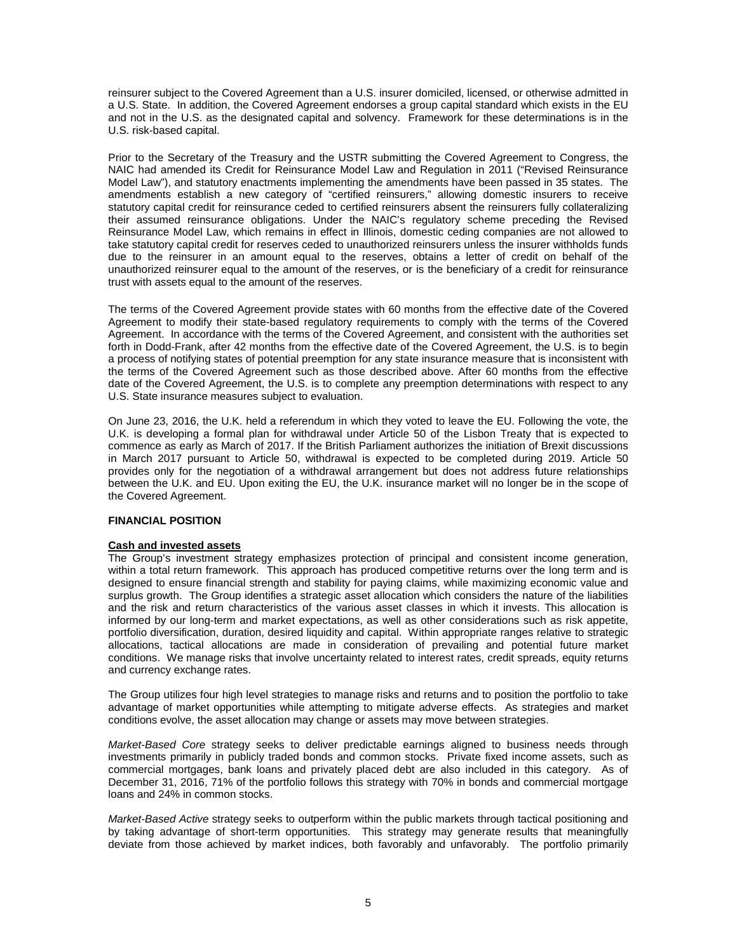reinsurer subject to the Covered Agreement than a U.S. insurer domiciled, licensed, or otherwise admitted in a U.S. State. In addition, the Covered Agreement endorses a group capital standard which exists in the EU and not in the U.S. as the designated capital and solvency. Framework for these determinations is in the U.S. risk-based capital.

Prior to the Secretary of the Treasury and the USTR submitting the Covered Agreement to Congress, the NAIC had amended its Credit for Reinsurance Model Law and Regulation in 2011 ("Revised Reinsurance Model Law"), and statutory enactments implementing the amendments have been passed in 35 states. The amendments establish a new category of "certified reinsurers," allowing domestic insurers to receive statutory capital credit for reinsurance ceded to certified reinsurers absent the reinsurers fully collateralizing their assumed reinsurance obligations. Under the NAIC's regulatory scheme preceding the Revised Reinsurance Model Law, which remains in effect in Illinois, domestic ceding companies are not allowed to take statutory capital credit for reserves ceded to unauthorized reinsurers unless the insurer withholds funds due to the reinsurer in an amount equal to the reserves, obtains a letter of credit on behalf of the unauthorized reinsurer equal to the amount of the reserves, or is the beneficiary of a credit for reinsurance trust with assets equal to the amount of the reserves.

The terms of the Covered Agreement provide states with 60 months from the effective date of the Covered Agreement to modify their state-based regulatory requirements to comply with the terms of the Covered Agreement. In accordance with the terms of the Covered Agreement, and consistent with the authorities set forth in Dodd-Frank, after 42 months from the effective date of the Covered Agreement, the U.S. is to begin a process of notifying states of potential preemption for any state insurance measure that is inconsistent with the terms of the Covered Agreement such as those described above. After 60 months from the effective date of the Covered Agreement, the U.S. is to complete any preemption determinations with respect to any U.S. State insurance measures subject to evaluation.

On June 23, 2016, the U.K. held a referendum in which they voted to leave the EU. Following the vote, the U.K. is developing a formal plan for withdrawal under Article 50 of the Lisbon Treaty that is expected to commence as early as March of 2017. If the British Parliament authorizes the initiation of Brexit discussions in March 2017 pursuant to Article 50, withdrawal is expected to be completed during 2019. Article 50 provides only for the negotiation of a withdrawal arrangement but does not address future relationships between the U.K. and EU. Upon exiting the EU, the U.K. insurance market will no longer be in the scope of the Covered Agreement.

## **FINANCIAL POSITION**

## **Cash and invested assets**

The Group's investment strategy emphasizes protection of principal and consistent income generation, within a total return framework. This approach has produced competitive returns over the long term and is designed to ensure financial strength and stability for paying claims, while maximizing economic value and surplus growth. The Group identifies a strategic asset allocation which considers the nature of the liabilities and the risk and return characteristics of the various asset classes in which it invests. This allocation is informed by our long-term and market expectations, as well as other considerations such as risk appetite, portfolio diversification, duration, desired liquidity and capital. Within appropriate ranges relative to strategic allocations, tactical allocations are made in consideration of prevailing and potential future market conditions. We manage risks that involve uncertainty related to interest rates, credit spreads, equity returns and currency exchange rates.

The Group utilizes four high level strategies to manage risks and returns and to position the portfolio to take advantage of market opportunities while attempting to mitigate adverse effects. As strategies and market conditions evolve, the asset allocation may change or assets may move between strategies.

*Market-Based Core* strategy seeks to deliver predictable earnings aligned to business needs through investments primarily in publicly traded bonds and common stocks. Private fixed income assets, such as commercial mortgages, bank loans and privately placed debt are also included in this category. As of December 31, 2016, 71% of the portfolio follows this strategy with 70% in bonds and commercial mortgage loans and 24% in common stocks.

*Market-Based Active* strategy seeks to outperform within the public markets through tactical positioning and by taking advantage of short-term opportunities. This strategy may generate results that meaningfully deviate from those achieved by market indices, both favorably and unfavorably. The portfolio primarily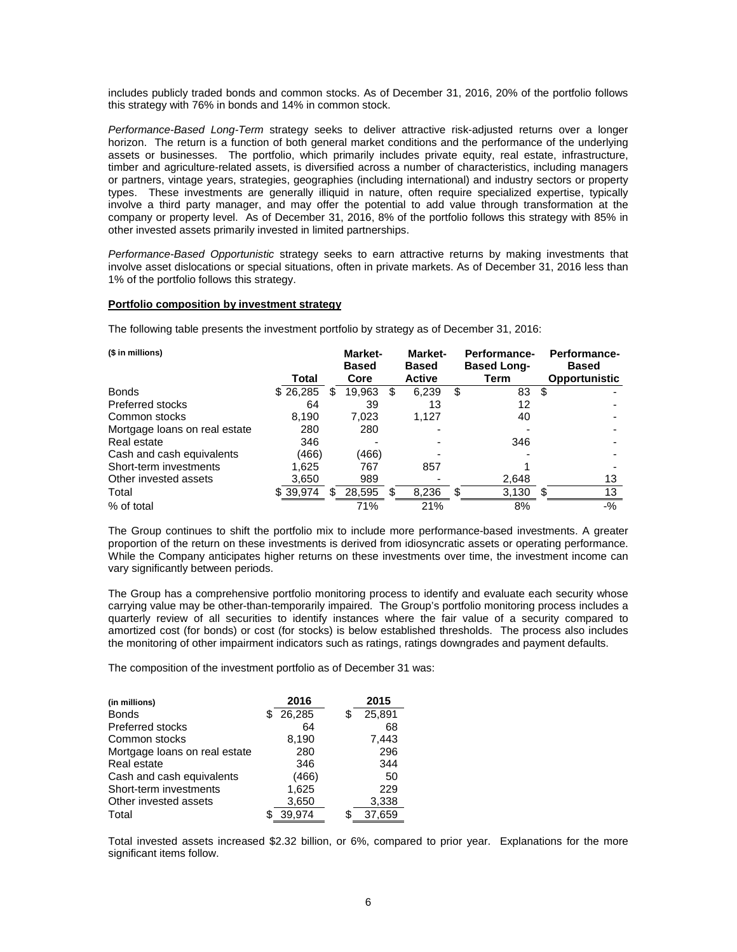includes publicly traded bonds and common stocks. As of December 31, 2016, 20% of the portfolio follows this strategy with 76% in bonds and 14% in common stock.

*Performance-Based Long-Term* strategy seeks to deliver attractive risk-adjusted returns over a longer horizon. The return is a function of both general market conditions and the performance of the underlying assets or businesses. The portfolio, which primarily includes private equity, real estate, infrastructure, timber and agriculture-related assets, is diversified across a number of characteristics, including managers or partners, vintage years, strategies, geographies (including international) and industry sectors or property types. These investments are generally illiquid in nature, often require specialized expertise, typically involve a third party manager, and may offer the potential to add value through transformation at the company or property level. As of December 31, 2016, 8% of the portfolio follows this strategy with 85% in other invested assets primarily invested in limited partnerships.

*Performance-Based Opportunistic* strategy seeks to earn attractive returns by making investments that involve asset dislocations or special situations, often in private markets. As of December 31, 2016 less than 1% of the portfolio follows this strategy.

## **Portfolio composition by investment strategy**

The following table presents the investment portfolio by strategy as of December 31, 2016:

| (\$ in millions)              |          |   | <b>Market-</b><br><b>Based</b> |     | Market-<br><b>Based</b> |    | <b>Performance-</b><br><b>Based Long-</b> |    | Performance-<br><b>Based</b> |
|-------------------------------|----------|---|--------------------------------|-----|-------------------------|----|-------------------------------------------|----|------------------------------|
|                               | Total    |   | Core                           |     | Active                  |    | Term                                      |    | <b>Opportunistic</b>         |
| <b>Bonds</b>                  | \$26,285 | S | 19,963                         | \$. | 6,239                   | \$ | 83                                        | -S |                              |
| Preferred stocks              | 64       |   | 39                             |     | 13                      |    | 12                                        |    |                              |
| Common stocks                 | 8,190    |   | 7,023                          |     | 1,127                   |    | 40                                        |    |                              |
| Mortgage loans on real estate | 280      |   | 280                            |     |                         |    |                                           |    |                              |
| Real estate                   | 346      |   |                                |     |                         |    | 346                                       |    |                              |
| Cash and cash equivalents     | (466)    |   | (466)                          |     |                         |    |                                           |    |                              |
| Short-term investments        | 1.625    |   | 767                            |     | 857                     |    |                                           |    |                              |
| Other invested assets         | 3,650    |   | 989                            |     |                         |    | 2,648                                     |    | 13                           |
| Total                         | \$39,974 | S | 28,595                         | S   | 8,236                   | S  | 3,130                                     | SБ | 13                           |
| % of total                    |          |   | 71%                            |     | 21%                     |    | 8%                                        |    | $-$ %                        |

The Group continues to shift the portfolio mix to include more performance-based investments. A greater proportion of the return on these investments is derived from idiosyncratic assets or operating performance. While the Company anticipates higher returns on these investments over time, the investment income can vary significantly between periods.

The Group has a comprehensive portfolio monitoring process to identify and evaluate each security whose carrying value may be other-than-temporarily impaired. The Group's portfolio monitoring process includes a quarterly review of all securities to identify instances where the fair value of a security compared to amortized cost (for bonds) or cost (for stocks) is below established thresholds. The process also includes the monitoring of other impairment indicators such as ratings, ratings downgrades and payment defaults.

The composition of the investment portfolio as of December 31 was:

| (in millions)                 | 2016   |   | 2015   |
|-------------------------------|--------|---|--------|
| <b>Bonds</b>                  | 26,285 | S | 25,891 |
| <b>Preferred stocks</b>       | 64     |   | 68     |
| Common stocks                 | 8,190  |   | 7,443  |
| Mortgage loans on real estate | 280    |   | 296    |
| Real estate                   | 346    |   | 344    |
| Cash and cash equivalents     | (466)  |   | 50     |
| Short-term investments        | 1,625  |   | 229    |
| Other invested assets         | 3,650  |   | 3,338  |
| Total                         | 39.974 |   | 37.659 |

Total invested assets increased \$2.32 billion, or 6%, compared to prior year. Explanations for the more significant items follow.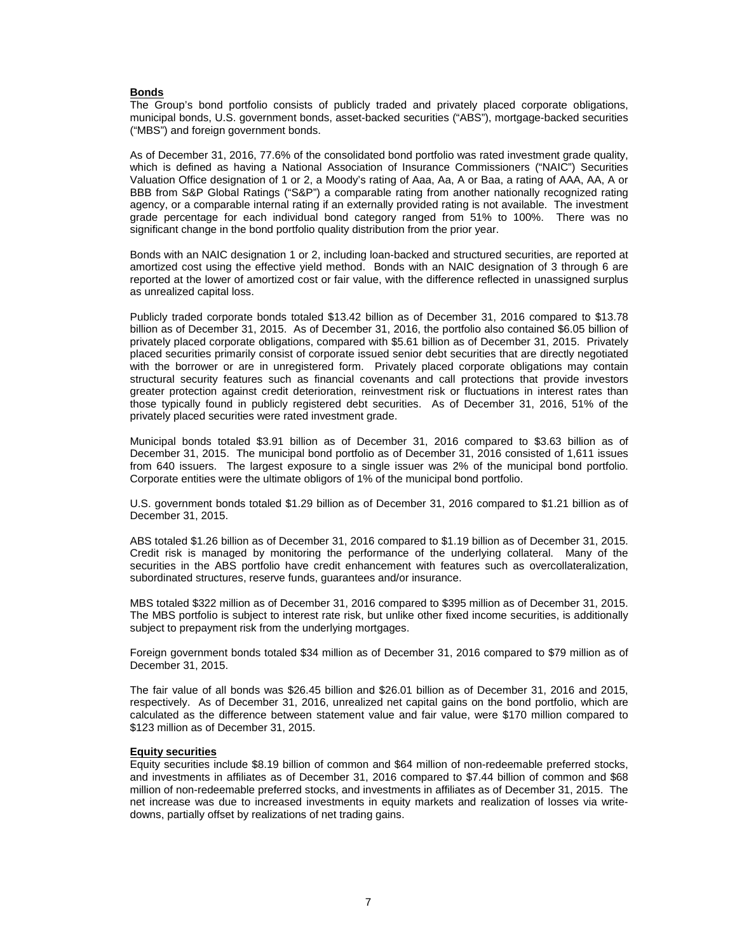## **Bonds**

The Group's bond portfolio consists of publicly traded and privately placed corporate obligations, municipal bonds, U.S. government bonds, asset-backed securities ("ABS"), mortgage-backed securities ("MBS") and foreign government bonds.

As of December 31, 2016, 77.6% of the consolidated bond portfolio was rated investment grade quality, which is defined as having a National Association of Insurance Commissioners ("NAIC") Securities Valuation Office designation of 1 or 2, a Moody's rating of Aaa, Aa, A or Baa, a rating of AAA, AA, A or BBB from S&P Global Ratings ("S&P") a comparable rating from another nationally recognized rating agency, or a comparable internal rating if an externally provided rating is not available. The investment grade percentage for each individual bond category ranged from 51% to 100%. There was no significant change in the bond portfolio quality distribution from the prior year.

Bonds with an NAIC designation 1 or 2, including loan-backed and structured securities, are reported at amortized cost using the effective yield method. Bonds with an NAIC designation of 3 through 6 are reported at the lower of amortized cost or fair value, with the difference reflected in unassigned surplus as unrealized capital loss.

Publicly traded corporate bonds totaled \$13.42 billion as of December 31, 2016 compared to \$13.78 billion as of December 31, 2015. As of December 31, 2016, the portfolio also contained \$6.05 billion of privately placed corporate obligations, compared with \$5.61 billion as of December 31, 2015. Privately placed securities primarily consist of corporate issued senior debt securities that are directly negotiated with the borrower or are in unregistered form. Privately placed corporate obligations may contain structural security features such as financial covenants and call protections that provide investors greater protection against credit deterioration, reinvestment risk or fluctuations in interest rates than those typically found in publicly registered debt securities. As of December 31, 2016, 51% of the privately placed securities were rated investment grade.

Municipal bonds totaled \$3.91 billion as of December 31, 2016 compared to \$3.63 billion as of December 31, 2015. The municipal bond portfolio as of December 31, 2016 consisted of 1,611 issues from 640 issuers. The largest exposure to a single issuer was 2% of the municipal bond portfolio. Corporate entities were the ultimate obligors of 1% of the municipal bond portfolio.

U.S. government bonds totaled \$1.29 billion as of December 31, 2016 compared to \$1.21 billion as of December 31, 2015.

ABS totaled \$1.26 billion as of December 31, 2016 compared to \$1.19 billion as of December 31, 2015. Credit risk is managed by monitoring the performance of the underlying collateral. Many of the securities in the ABS portfolio have credit enhancement with features such as overcollateralization, subordinated structures, reserve funds, guarantees and/or insurance.

MBS totaled \$322 million as of December 31, 2016 compared to \$395 million as of December 31, 2015. The MBS portfolio is subject to interest rate risk, but unlike other fixed income securities, is additionally subject to prepayment risk from the underlying mortgages.

Foreign government bonds totaled \$34 million as of December 31, 2016 compared to \$79 million as of December 31, 2015.

The fair value of all bonds was \$26.45 billion and \$26.01 billion as of December 31, 2016 and 2015, respectively. As of December 31, 2016, unrealized net capital gains on the bond portfolio, which are calculated as the difference between statement value and fair value, were \$170 million compared to \$123 million as of December 31, 2015.

#### **Equity securities**

Equity securities include \$8.19 billion of common and \$64 million of non-redeemable preferred stocks, and investments in affiliates as of December 31, 2016 compared to \$7.44 billion of common and \$68 million of non-redeemable preferred stocks, and investments in affiliates as of December 31, 2015. The net increase was due to increased investments in equity markets and realization of losses via writedowns, partially offset by realizations of net trading gains.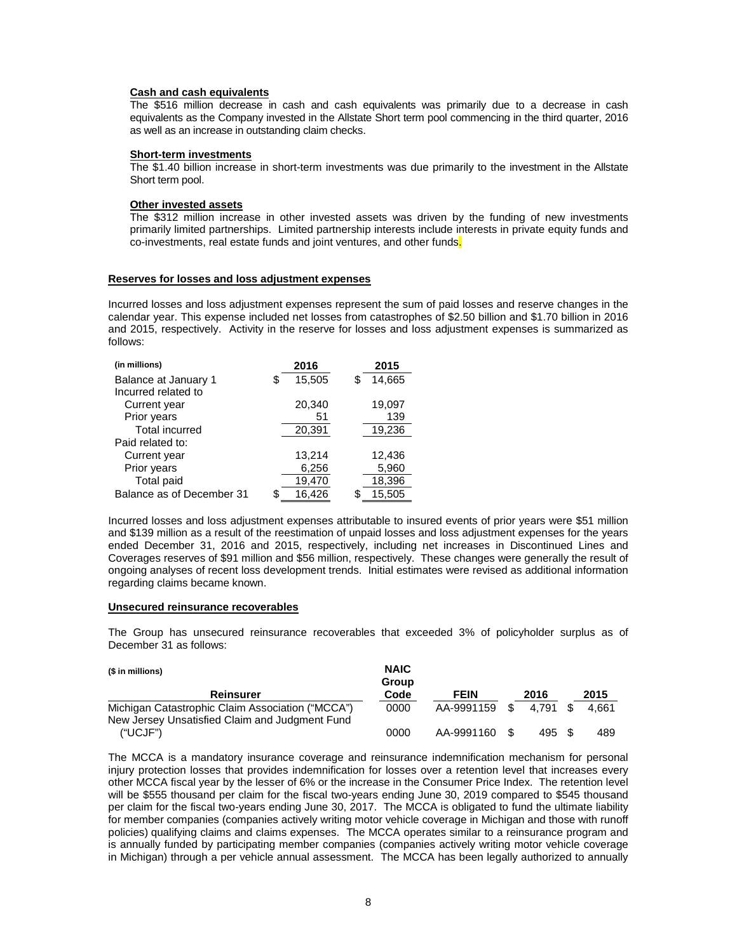## **Cash and cash equivalents**

The \$516 million decrease in cash and cash equivalents was primarily due to a decrease in cash equivalents as the Company invested in the Allstate Short term pool commencing in the third quarter, 2016 as well as an increase in outstanding claim checks.

#### **Short-term investments**

The \$1.40 billion increase in short-term investments was due primarily to the investment in the Allstate Short term pool.

## **Other invested assets**

The \$312 million increase in other invested assets was driven by the funding of new investments primarily limited partnerships. Limited partnership interests include interests in private equity funds and co-investments, real estate funds and joint ventures, and other funds.

#### **Reserves for losses and loss adjustment expenses**

Incurred losses and loss adjustment expenses represent the sum of paid losses and reserve changes in the calendar year. This expense included net losses from catastrophes of \$2.50 billion and \$1.70 billion in 2016 and 2015, respectively. Activity in the reserve for losses and loss adjustment expenses is summarized as follows:

| (in millions)             | 2016         |   | 2015   |
|---------------------------|--------------|---|--------|
| Balance at January 1      | \$<br>15,505 | S | 14,665 |
| Incurred related to       |              |   |        |
| Current year              | 20,340       |   | 19,097 |
| Prior years               | 51           |   | 139    |
| <b>Total incurred</b>     | 20,391       |   | 19,236 |
| Paid related to:          |              |   |        |
| Current year              | 13,214       |   | 12,436 |
| Prior years               | 6,256        |   | 5,960  |
| Total paid                | 19,470       |   | 18,396 |
| Balance as of December 31 | \$<br>16.426 |   | 15.505 |

Incurred losses and loss adjustment expenses attributable to insured events of prior years were \$51 million and \$139 million as a result of the reestimation of unpaid losses and loss adjustment expenses for the years ended December 31, 2016 and 2015, respectively, including net increases in Discontinued Lines and Coverages reserves of \$91 million and \$56 million, respectively. These changes were generally the result of ongoing analyses of recent loss development trends. Initial estimates were revised as additional information regarding claims became known.

### **Unsecured reinsurance recoverables**

The Group has unsecured reinsurance recoverables that exceeded 3% of policyholder surplus as of December 31 as follows:

| (\$ in millions)                                 | <b>NAIC</b><br>Group |             |      |       |       |
|--------------------------------------------------|----------------------|-------------|------|-------|-------|
| <b>Reinsurer</b>                                 | Code                 | <b>FEIN</b> |      | 2016  | 2015  |
| Michigan Catastrophic Claim Association ("MCCA") | 0000                 | AA-9991159  | - \$ | 4.791 | 4.661 |
| New Jersey Unsatisfied Claim and Judgment Fund   |                      |             |      |       |       |
| ("UCJF")                                         | 0000                 | AA-9991160  |      | 495   | 489   |

The MCCA is a mandatory insurance coverage and reinsurance indemnification mechanism for personal injury protection losses that provides indemnification for losses over a retention level that increases every other MCCA fiscal year by the lesser of 6% or the increase in the Consumer Price Index. The retention level will be \$555 thousand per claim for the fiscal two-years ending June 30, 2019 compared to \$545 thousand per claim for the fiscal two-years ending June 30, 2017. The MCCA is obligated to fund the ultimate liability for member companies (companies actively writing motor vehicle coverage in Michigan and those with runoff policies) qualifying claims and claims expenses. The MCCA operates similar to a reinsurance program and is annually funded by participating member companies (companies actively writing motor vehicle coverage in Michigan) through a per vehicle annual assessment. The MCCA has been legally authorized to annually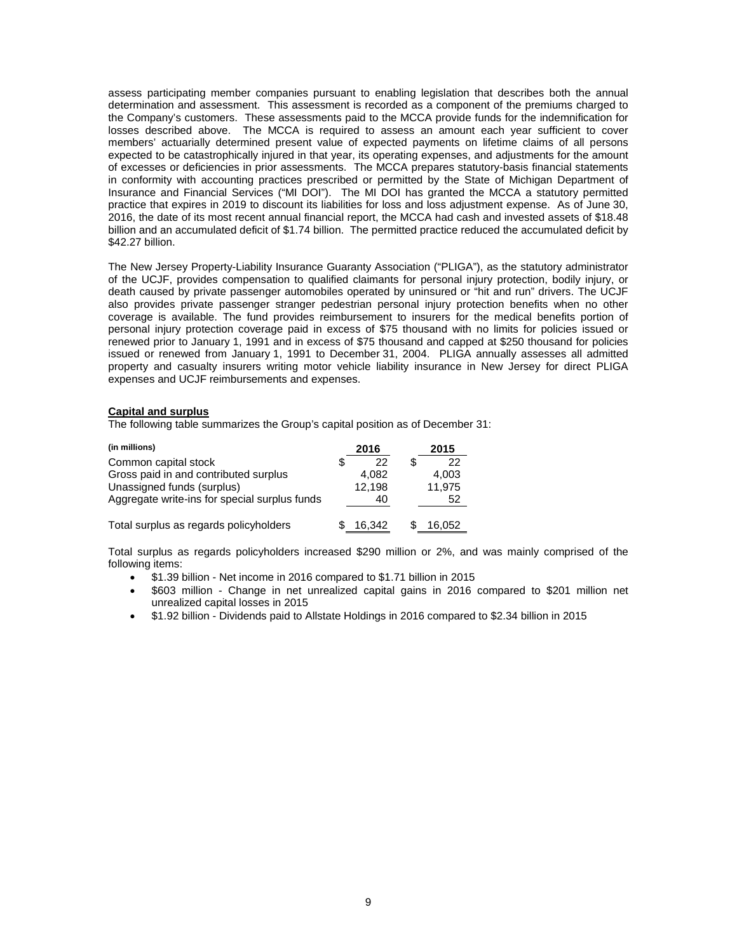assess participating member companies pursuant to enabling legislation that describes both the annual determination and assessment. This assessment is recorded as a component of the premiums charged to the Company's customers. These assessments paid to the MCCA provide funds for the indemnification for losses described above. The MCCA is required to assess an amount each year sufficient to cover members' actuarially determined present value of expected payments on lifetime claims of all persons expected to be catastrophically injured in that year, its operating expenses, and adjustments for the amount of excesses or deficiencies in prior assessments. The MCCA prepares statutory-basis financial statements in conformity with accounting practices prescribed or permitted by the State of Michigan Department of Insurance and Financial Services ("MI DOI"). The MI DOI has granted the MCCA a statutory permitted practice that expires in 2019 to discount its liabilities for loss and loss adjustment expense. As of June 30, 2016, the date of its most recent annual financial report, the MCCA had cash and invested assets of \$18.48 billion and an accumulated deficit of \$1.74 billion. The permitted practice reduced the accumulated deficit by \$42.27 billion.

The New Jersey Property-Liability Insurance Guaranty Association ("PLIGA"), as the statutory administrator of the UCJF, provides compensation to qualified claimants for personal injury protection, bodily injury, or death caused by private passenger automobiles operated by uninsured or "hit and run" drivers. The UCJF also provides private passenger stranger pedestrian personal injury protection benefits when no other coverage is available. The fund provides reimbursement to insurers for the medical benefits portion of personal injury protection coverage paid in excess of \$75 thousand with no limits for policies issued or renewed prior to January 1, 1991 and in excess of \$75 thousand and capped at \$250 thousand for policies issued or renewed from January 1, 1991 to December 31, 2004. PLIGA annually assesses all admitted property and casualty insurers writing motor vehicle liability insurance in New Jersey for direct PLIGA expenses and UCJF reimbursements and expenses.

## **Capital and surplus**

The following table summarizes the Group's capital position as of December 31:

| (in millions)                                 |   | 2016   | 2015   |
|-----------------------------------------------|---|--------|--------|
| Common capital stock                          | S | 22     | 22     |
| Gross paid in and contributed surplus         |   | 4.082  | 4,003  |
| Unassigned funds (surplus)                    |   | 12,198 | 11,975 |
| Aggregate write-ins for special surplus funds |   | 40     | 52     |
| Total surplus as regards policyholders        |   | 16.342 | 16.052 |

Total surplus as regards policyholders increased \$290 million or 2%, and was mainly comprised of the following items:

- \$1.39 billion Net income in 2016 compared to \$1.71 billion in 2015
- \$603 million Change in net unrealized capital gains in 2016 compared to \$201 million net unrealized capital losses in 2015
- \$1.92 billion Dividends paid to Allstate Holdings in 2016 compared to \$2.34 billion in 2015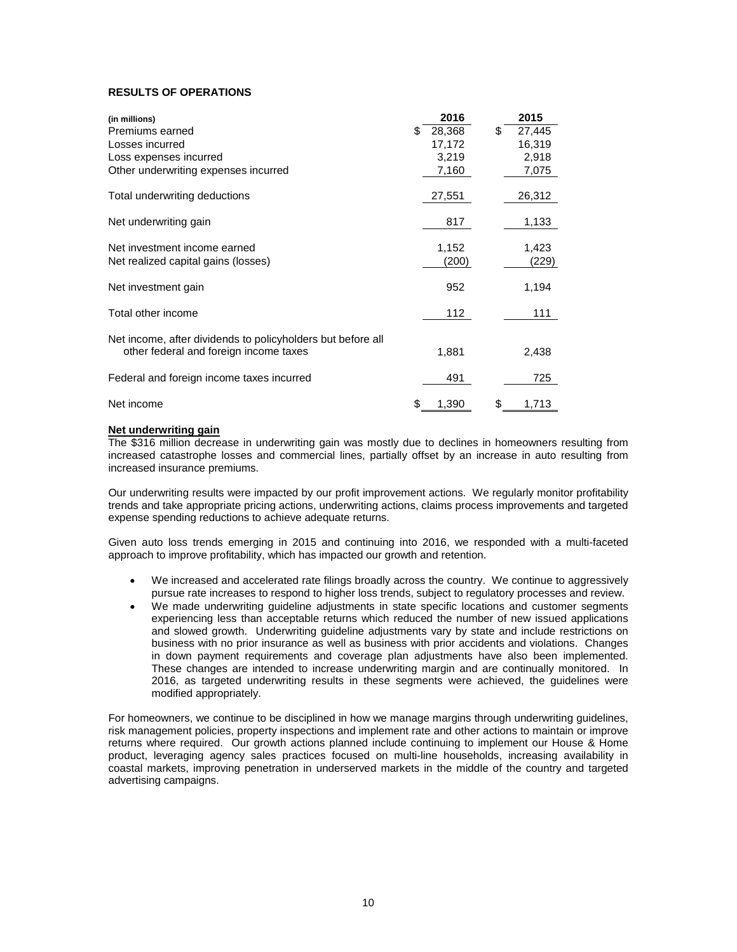# **RESULTS OF OPERATIONS**

| (in millions)                                               | 2016         | 2015         |
|-------------------------------------------------------------|--------------|--------------|
| Premiums earned                                             | 28,368<br>S. | \$<br>27,445 |
| Losses incurred                                             | 17,172       | 16,319       |
| Loss expenses incurred                                      | 3,219        | 2,918        |
| Other underwriting expenses incurred                        | 7,160        | 7,075        |
| Total underwriting deductions                               | 27,551       | 26,312       |
| Net underwriting gain                                       | 817          | 1,133        |
| Net investment income earned                                | 1,152        | 1,423        |
| Net realized capital gains (losses)                         | (200)        | (229)        |
| Net investment gain                                         | 952          | 1,194        |
| Total other income                                          | 112          | 111          |
| Net income, after dividends to policyholders but before all |              |              |
| other federal and foreign income taxes                      | 1,881        | 2,438        |
| Federal and foreign income taxes incurred                   | 491          | 725          |
| Net income                                                  | 1,390<br>S   | \$<br>1,713  |

## **Net underwriting gain**

The \$316 million decrease in underwriting gain was mostly due to declines in homeowners resulting from increased catastrophe losses and commercial lines, partially offset by an increase in auto resulting from increased insurance premiums.

Our underwriting results were impacted by our profit improvement actions. We regularly monitor profitability trends and take appropriate pricing actions, underwriting actions, claims process improvements and targeted expense spending reductions to achieve adequate returns.

Given auto loss trends emerging in 2015 and continuing into 2016, we responded with a multi-faceted approach to improve profitability, which has impacted our growth and retention.

- We increased and accelerated rate filings broadly across the country. We continue to aggressively pursue rate increases to respond to higher loss trends, subject to regulatory processes and review.
- We made underwriting guideline adjustments in state specific locations and customer segments experiencing less than acceptable returns which reduced the number of new issued applications and slowed growth. Underwriting guideline adjustments vary by state and include restrictions on business with no prior insurance as well as business with prior accidents and violations. Changes in down payment requirements and coverage plan adjustments have also been implemented. These changes are intended to increase underwriting margin and are continually monitored. In 2016, as targeted underwriting results in these segments were achieved, the guidelines were modified appropriately.

For homeowners, we continue to be disciplined in how we manage margins through underwriting guidelines, risk management policies, property inspections and implement rate and other actions to maintain or improve returns where required. Our growth actions planned include continuing to implement our House & Home product, leveraging agency sales practices focused on multi-line households, increasing availability in coastal markets, improving penetration in underserved markets in the middle of the country and targeted advertising campaigns.